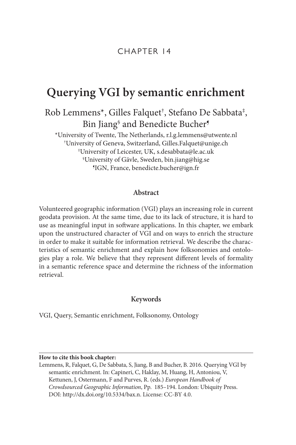# **Querying VGI by semantic enrichment**

Rob Lemmens\*, Gilles Falquet† , Stefano De Sabbata‡ , Bin Jiang§ and Benedicte Bucher¶

\*University of Twente, The Netherlands, [r.l.g.lemmens@utwente.nl](mailto:r.l.g.lemmens@utwente.nl) † University of Geneva, Switzerland, [Gilles.Falquet@unige.ch](mailto:Gilles.Falquet@unige.ch) ‡ University of Leicester, UK, [s.desabbata@le.ac.uk](mailto:s.desabbata@le.ac.uk) § University of Gävle, Sweden, [bin.jiang@hig.se](mailto:bin.jiang@hig.se) ¶ IGN, France, [benedicte.bucher@ign.fr](mailto:benedicte.bucher@ign.fr)

# **Abstract**

Volunteered geographic information (VGI) plays an increasing role in current geodata provision. At the same time, due to its lack of structure, it is hard to use as meaningful input in software applications. In this chapter, we embark upon the unstructured character of VGI and on ways to enrich the structure in order to make it suitable for information retrieval. We describe the characteristics of semantic enrichment and explain how folksonomies and ontologies play a role. We believe that they represent different levels of formality in a semantic reference space and determine the richness of the information retrieval.

# **Keywords**

VGI, Query, Semantic enrichment, Folksonomy, Ontology

#### **How to cite this book chapter:**

Lemmens, R, Falquet, G, De Sabbata, S, Jiang, B and Bucher, B. 2016. Querying VGI by semantic enrichment. In: Capineri, C, Haklay, M, Huang, H, Antoniou, V, Kettunen, J, Ostermann, F and Purves, R. (eds.) *European Handbook of Crowdsourced Geographic Information*, Pp. 185–194. London: Ubiquity Press. DOI: [http://dx.doi.org/10.5334/bax.n.](http://dx.doi.org/10.5334/bax.n) License: CC-BY 4.0.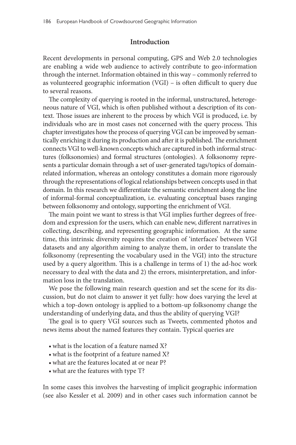# **Introduction**

Recent developments in personal computing, GPS and Web 2.0 technologies are enabling a wide web audience to actively contribute to geo-information through the internet. Information obtained in this way – commonly referred to as volunteered geographic information (VGI) – is often difficult to query due to several reasons.

The complexity of querying is rooted in the informal, unstructured, heterogeneous nature of VGI, which is often published without a description of its context. Those issues are inherent to the process by which VGI is produced, i.e. by individuals who are in most cases not concerned with the query process. This chapter investigates how the process of querying VGI can be improved by semantically enriching it during its production and after it is published. The enrichment connects VGI to well-known concepts which are captured in both informal structures (folksonomies) and formal structures (ontologies). A folksonomy represents a particular domain through a set of user-generated tags/topics of domainrelated information, whereas an ontology constitutes a domain more rigorously through the representations of logical relationships between concepts used in that domain. In this research we differentiate the semantic enrichment along the line of informal-formal conceptualization, i.e. evaluating conceptual bases ranging between folksonomy and ontology, supporting the enrichment of VGI.

The main point we want to stress is that VGI implies further degrees of freedom and expression for the users, which can enable new, different narratives in collecting, describing, and representing geographic information. At the same time, this intrinsic diversity requires the creation of 'interfaces' between VGI datasets and any algorithm aiming to analyze them, in order to translate the folksonomy (representing the vocabulary used in the VGI) into the structure used by a query algorithm. This is a challenge in terms of 1) the ad-hoc work necessary to deal with the data and 2) the errors, misinterpretation, and information loss in the translation.

We pose the following main research question and set the scene for its discussion, but do not claim to answer it yet fully: how does varying the level at which a top-down ontology is applied to a bottom-up folksonomy change the understanding of underlying data, and thus the ability of querying VGI?

The goal is to query VGI sources such as Tweets, commented photos and news items about the named features they contain. Typical queries are

- what is the location of a feature named X?
- what is the footprint of a feature named X?
- what are the features located at or near P?
- what are the features with type T?

In some cases this involves the harvesting of implicit geographic information (see also Kessler et al. 2009) and in other cases such information cannot be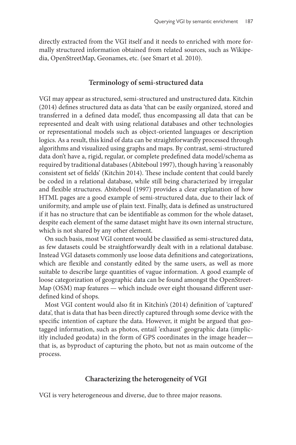directly extracted from the VGI itself and it needs to enriched with more formally structured information obtained from related sources, such as Wikipedia, OpenStreetMap, Geonames, etc. (see Smart et al. 2010).

#### **Terminology of semi-structured data**

VGI may appear as structured, semi-structured and unstructured data. Kitchin (2014) defines structured data as data 'that can be easily organized, stored and transferred in a defined data model', thus encompassing all data that can be represented and dealt with using relational databases and other technologies or representational models such as object-oriented languages or description logics. As a result, this kind of data can be straightforwardly processed through algorithms and visualized using graphs and maps. By contrast, semi-structured data don't have a, rigid, regular, or complete predefined data model/schema as required by traditional databases (Abiteboul 1997), though having 'a reasonably consistent set of fields' (Kitchin 2014). These include content that could barely be coded in a relational database, while still being characterized by irregular and flexible structures. Abiteboul (1997) provides a clear explanation of how HTML pages are a good example of semi-structured data, due to their lack of uniformity, and ample use of plain text. Finally, data is defined as unstructured if it has no structure that can be identifiable as common for the whole dataset, despite each element of the same dataset might have its own internal structure, which is not shared by any other element.

On such basis, most VGI content would be classified as semi-structured data, as few datasets could be straightforwardly dealt with in a relational database. Instead VGI datasets commonly use loose data definitions and categorizations, which are flexible and constantly edited by the same users, as well as more suitable to describe large quantities of vague information. A good example of loose categorization of geographic data can be found amongst the OpenStreet-Map (OSM) map features — which include over eight thousand different userdefined kind of shops.

Most VGI content would also fit in Kitchin's (2014) definition of 'captured' data', that is data that has been directly captured through some device with the specific intention of capture the data. However, it might be argued that geotagged information, such as photos, entail 'exhaust' geographic data (implicitly included geodata) in the form of GPS coordinates in the image header that is, as byproduct of capturing the photo, but not as main outcome of the process.

#### **Characterizing the heterogeneity of VGI**

VGI is very heterogeneous and diverse, due to three major reasons.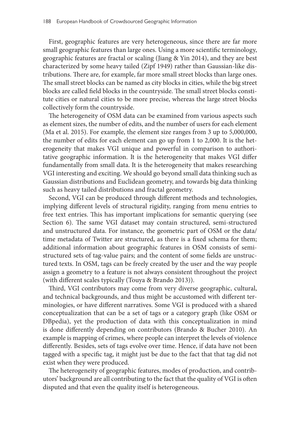First, geographic features are very heterogeneous, since there are far more small geographic features than large ones. Using a more scientific terminology, geographic features are fractal or scaling (Jiang & Yin 2014), and they are best characterized by some heavy tailed (Zipf 1949) rather than Gaussian-like distributions. There are, for example, far more small street blocks than large ones. The small street blocks can be named as city blocks in cities, while the big street blocks are called field blocks in the countryside. The small street blocks constitute cities or natural cities to be more precise, whereas the large street blocks collectively form the countryside.

The heterogeneity of OSM data can be examined from various aspects such as element sizes, the number of edits, and the number of users for each element (Ma et al. 2015). For example, the element size ranges from 3 up to 5,000,000, the number of edits for each element can go up from 1 to 2,000. It is the heterogeneity that makes VGI unique and powerful in comparison to authoritative geographic information. It is the heterogeneity that makes VGI differ fundamentally from small data. It is the heterogeneity that makes researching VGI interesting and exciting. We should go beyond small data thinking such as Gaussian distributions and Euclidean geometry, and towards big data thinking such as heavy tailed distributions and fractal geometry.

Second, VGI can be produced through different methods and technologies, implying different levels of structural rigidity, ranging from menu entries to free text entries. This has important implications for semantic querying (see Section 6). The same VGI dataset may contain structured, semi-structured and unstructured data. For instance, the geometric part of OSM or the data/ time metadata of Twitter are structured, as there is a fixed schema for them; additional information about geographic features in OSM consists of semistructured sets of tag-value pairs; and the content of some fields are unstructured texts. In OSM, tags can be freely created by the user and the way people assign a geometry to a feature is not always consistent throughout the project (with different scales typically (Touya & Brando 2013)).

Third, VGI contributors may come from very diverse geographic, cultural, and technical backgrounds, and thus might be accustomed with different terminologies, or have different narratives. Some VGI is produced with a shared conceptualization that can be a set of tags or a category graph (like OSM or DBpedia), yet the production of data with this conceptualization in mind is done differently depending on contributors (Brando & Bucher 2010). An example is mapping of crimes, where people can interpret the levels of violence differently. Besides, sets of tags evolve over time. Hence, if data have not been tagged with a specific tag, it might just be due to the fact that that tag did not exist when they were produced.

The heterogeneity of geographic features, modes of production, and contributors' background are all contributing to the fact that the quality of VGI is often disputed and that even the quality itself is heterogeneous.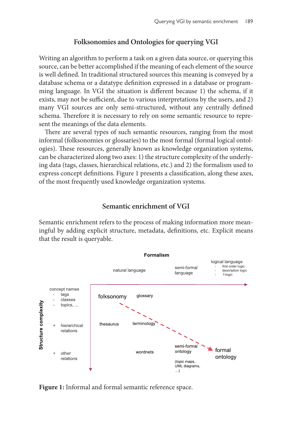# **Folksonomies and Ontologies for querying VGI**

Writing an algorithm to perform a task on a given data source, or querying this source, can be better accomplished if the meaning of each element of the source is well defined. In traditional structured sources this meaning is conveyed by a database schema or a datatype definition expressed in a database or programming language. In VGI the situation is different because 1) the schema, if it exists, may not be sufficient, due to various interpretations by the users, and 2) many VGI sources are only semi-structured, without any centrally defined schema. Therefore it is necessary to rely on some semantic resource to represent the meanings of the data elements.

There are several types of such semantic resources, ranging from the most informal (folksonomies or glossaries) to the most formal (formal logical ontologies). These resources, generally known as knowledge organization systems, can be characterized along two axes: 1) the structure complexity of the underlying data (tags, classes, hierarchical relations, etc.) and 2) the formalism used to express concept definitions. [Figure 1](#page-4-0) presents a classification, along these axes, of the most frequently used knowledge organization systems.

# **Semantic enrichment of VGI**

Semantic enrichment refers to the process of making information more meaningful by adding explicit structure, metadata, definitions, etc. Explicit means that the result is queryable.



<span id="page-4-0"></span>**Figure 1:** Informal and formal semantic reference space.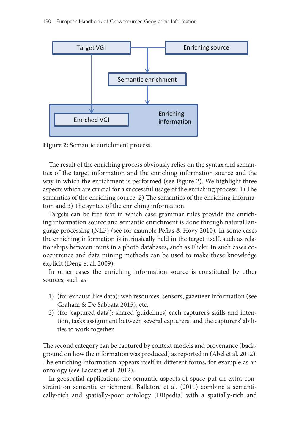

<span id="page-5-0"></span>**Figure 2:** Semantic enrichment process.

The result of the enriching process obviously relies on the syntax and semantics of the target information and the enriching information source and the way in which the enrichment is performed (see [Figure 2](#page-5-0)). We highlight three aspects which are crucial for a successful usage of the enriching process: 1) The semantics of the enriching source, 2) The semantics of the enriching information and 3) The syntax of the enriching information.

Targets can be free text in which case grammar rules provide the enriching information source and semantic enrichment is done through natural language processing (NLP) (see for example Peñas & Hovy 2010). In some cases the enriching information is intrinsically held in the target itself, such as relationships between items in a photo databases, such as Flickr. In such cases cooccurrence and data mining methods can be used to make these knowledge explicit (Deng et al. 2009).

In other cases the enriching information source is constituted by other sources, such as

- 1) (for exhaust-like data): web resources, sensors, gazetteer information (see Graham & De Sabbata 2015), etc.
- 2) (for 'captured data'): shared 'guidelines', each capturer's skills and intention, tasks assignment between several capturers, and the capturers' abilities to work together.

The second category can be captured by context models and provenance (background on how the information was produced) as reported in (Abel et al. 2012). The enriching information appears itself in different forms, for example as an ontology (see Lacasta et al. 2012).

In geospatial applications the semantic aspects of space put an extra constraint on semantic enrichment. Ballatore et al. (2011) combine a semantically-rich and spatially-poor ontology (DBpedia) with a spatially-rich and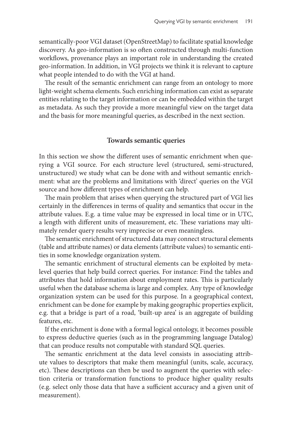semantically-poor VGI dataset (OpenStreetMap) to facilitate spatial knowledge discovery. As geo-information is so often constructed through multi-function workflows, provenance plays an important role in understanding the created geo-information. In addition, in VGI projects we think it is relevant to capture what people intended to do with the VGI at hand.

The result of the semantic enrichment can range from an ontology to more light-weight schema elements. Such enriching information can exist as separate entities relating to the target information or can be embedded within the target as metadata. As such they provide a more meaningful view on the target data and the basis for more meaningful queries, as described in the next section.

#### **Towards semantic queries**

In this section we show the different uses of semantic enrichment when querying a VGI source. For each structure level (structured, semi-structured, unstructured) we study what can be done with and without semantic enrichment: what are the problems and limitations with 'direct' queries on the VGI source and how different types of enrichment can help.

The main problem that arises when querying the structured part of VGI lies certainly in the differences in terms of quality and semantics that occur in the attribute values. E.g. a time value may be expressed in local time or in UTC, a length with different units of measurement, etc. These variations may ultimately render query results very imprecise or even meaningless.

The semantic enrichment of structured data may connect structural elements (table and attribute names) or data elements (attribute values) to semantic entities in some knowledge organization system.

The semantic enrichment of structural elements can be exploited by metalevel queries that help build correct queries. For instance: Find the tables and attributes that hold information about employment rates. This is particularly useful when the database schema is large and complex. Any type of knowledge organization system can be used for this purpose. In a geographical context, enrichment can be done for example by making geographic properties explicit, e.g. that a bridge is part of a road, 'built-up area' is an aggregate of building features, etc.

If the enrichment is done with a formal logical ontology, it becomes possible to express deductive queries (such as in the programming language Datalog) that can produce results not computable with standard SQL queries.

The semantic enrichment at the data level consists in associating attribute values to descriptors that make them meaningful (units, scale, accuracy, etc). These descriptions can then be used to augment the queries with selection criteria or transformation functions to produce higher quality results (e.g. select only those data that have a sufficient accuracy and a given unit of measurement).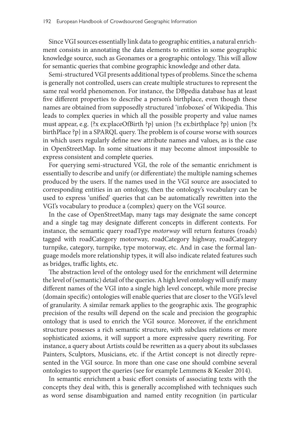Since VGI sources essentially link data to geographic entities, a natural enrichment consists in annotating the data elements to entities in some geographic knowledge source, such as Geonames or a geographic ontology. This will allow for semantic queries that combine geographic knowledge and other data.

Semi-structured VGI presents additional types of problems. Since the schema is generally not controlled, users can create multiple structures to represent the same real world phenomenon. For instance, the DBpedia database has at least five different properties to describe a person's birthplace, even though these names are obtained from supposedly structured 'infoboxes' of Wikipedia. This leads to complex queries in which all the possible property and value names must appear, e.g. {?x ex:placeOfBirth ?p} union {?x ex:birthplace ?p} union {?x birthPlace ?p} in a SPARQL query. The problem is of course worse with sources in which users regularly define new attribute names and values, as is the case in OpenStreetMap. In some situations it may become almost impossible to express consistent and complete queries.

For querying semi-structured VGI, the role of the semantic enrichment is essentially to describe and unify (or differentiate) the multiple naming schemes produced by the users. If the names used in the VGI source are associated to corresponding entities in an ontology, then the ontology's vocabulary can be used to express 'unified' queries that can be automatically rewritten into the VGI's vocabulary to produce a (complex) query on the VGI source.

In the case of OpenStreetMap, many tags may designate the same concept and a single tag may designate different concepts in different contexts. For instance, the semantic query roadType *motorway* will return features (roads) tagged with roadCategory motorway, roadCategory highway, roadCategory turnpike, category, turnpike, type motorway, etc. And in case the formal language models more relationship types, it will also indicate related features such as bridges, traffic lights, etc.

The abstraction level of the ontology used for the enrichment will determine the level of (semantic) detail of the queries. A high level ontology will unify many different names of the VGI into a single high level concept, while more precise (domain specific) ontologies will enable queries that are closer to the VGI's level of granularity. A similar remark applies to the geographic axis. The geographic precision of the results will depend on the scale and precision the geographic ontology that is used to enrich the VGI source. Moreover, if the enrichment structure possesses a rich semantic structure, with subclass relations or more sophisticated axioms, it will support a more expressive query rewriting. For instance, a query about Artists could be rewritten as a query about its subclasses Painters, Sculptors, Musicians, etc. if the Artist concept is not directly represented in the VGI source. In more than one case one should combine several ontologies to support the queries (see for example Lemmens & Kessler 2014).

In semantic enrichment a basic effort consists of associating texts with the concepts they deal with, this is generally accomplished with techniques such as word sense disambiguation and named entity recognition (in particular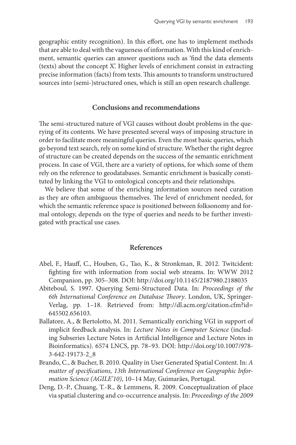geographic entity recognition). In this effort, one has to implement methods that are able to deal with the vagueness of information. With this kind of enrichment, semantic queries can answer questions such as 'find the data elements (texts) about the concept X'. Higher levels of enrichment consist in extracting precise information (facts) from texts. This amounts to transform unstructured sources into (semi-)structured ones, which is still an open research challenge.

#### **Conclusions and recommendations**

The semi-structured nature of VGI causes without doubt problems in the querying of its contents. We have presented several ways of imposing structure in order to facilitate more meaningful queries. Even the most basic queries, which go beyond text search, rely on some kind of structure. Whether the right degree of structure can be created depends on the success of the semantic enrichment process. In case of VGI, there are a variety of options, for which some of them rely on the reference to geodatabases. Semantic enrichment is basically constituted by linking the VGI to ontological concepts and their relationships.

We believe that some of the enriching information sources need curation as they are often ambiguous themselves. The level of enrichment needed, for which the semantic reference space is positioned between folksonomy and formal ontology, depends on the type of queries and needs to be further investigated with practical use cases.

#### **References**

- Abel, F., Hauff, C., Houben, G., Tao, K., & Stronkman, R. 2012. Twitcident: fighting fire with information from social web streams. In: WWW 2012 Companion, pp. 305–308. DOI:<http://doi.org/10.1145/2187980.2188035>
- Abiteboul, S. 1997. Querying Semi-Structured Data. In: *Proceedings of the 6th International Conference on Database Theory*. London, UK, Springer-Verlag, pp. 1–18. Retrieved from: <http://dl.acm.org/citation.cfm?id=> 645502.656103.
- Ballatore, A., & Bertolotto, M. 2011. Semantically enriching VGI in support of implicit feedback analysis. In: *Lecture Notes in Computer Science* (including Subseries Lecture Notes in Artificial Intelligence and Lecture Notes in Bioinformatics). 6574 LNCS, pp. 78–93. DOI: [http://doi.org/10.1007/978-](http://doi.org/10.1007/978-3-642-19173-2_8) [3-642-19173-2\\_8](http://doi.org/10.1007/978-3-642-19173-2_8)
- Brando, C., & Bucher, B. 2010. Quality in User Generated Spatial Content. In: *A matter of specifications, 13th International Conference on Geographic Information Science (AGILE'10)*, 10–14 May, Guimarães, Portugal.
- Deng, D.-P., Chuang, T.-R., & Lemmens, R. 2009. Conceptualization of place via spatial clustering and co-occurrence analysis. In: *Proceedings of the 2009*